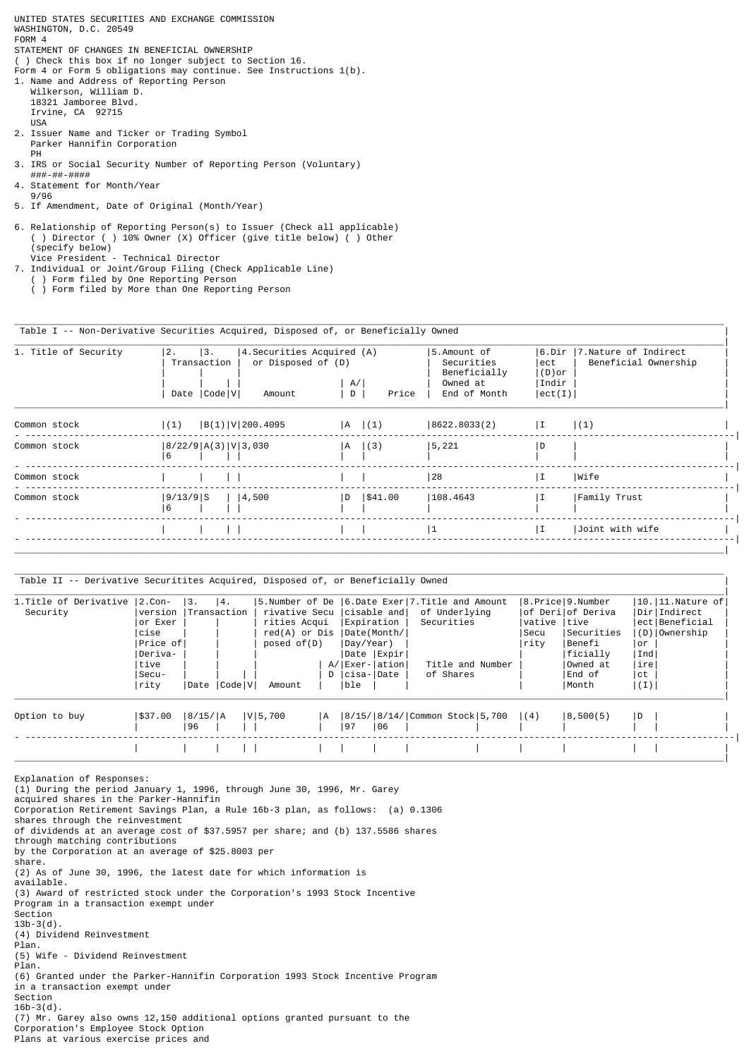UNITED STATES SECURITIES AND EXCHANGE COMMISSION WASHINGTON, D.C. 20549 FORM 4 STATEMENT OF CHANGES IN BENEFICIAL OWNERSHIP ( ) Check this box if no longer subject to Section 16. Form 4 or Form 5 obligations may continue. See Instructions 1(b). 1. Name and Address of Reporting Person Wilkerson, William D. 18321 Jamboree Blvd. Irvine, CA 92715 USA 2. Issuer Name and Ticker or Trading Symbol Parker Hannifin Corporation PH 3. IRS or Social Security Number of Reporting Person (Voluntary) ###-##-#### 4. Statement for Month/Year 9/96 5. If Amendment, Date of Original (Month/Year) 6. Relationship of Reporting Person(s) to Issuer (Check all applicable) ( ) Director ( ) 10% Owner (X) Officer (give title below) ( ) Other

 ( ) Form filed by One Reporting Person ( ) Form filed by More than One Reporting Person

7. Individual or Joint/Group Filing (Check Applicable Line)

Vice President - Technical Director

(specify below)

Table I -- Non-Derivative Securities Acquired, Disposed of, or Beneficially Owned |

| 1. Title of Security | 12.<br> 3.<br>Transaction<br>Date   Code   V | (4)   4. Securities Acquired (A)<br>or Disposed of (D)<br>Amount<br>D | A/ <br>Price | 5.Amount of<br>Securities<br>Beneficially<br>Owned at<br>End of Month | ect<br>$  (D)$ or<br> Indir<br> ect(I) | 6.Dir  7.Nature of Indirect <br>Beneficial Ownership |
|----------------------|----------------------------------------------|-----------------------------------------------------------------------|--------------|-----------------------------------------------------------------------|----------------------------------------|------------------------------------------------------|
| Common stock         | B(1) V 200.4095<br> (1)                      |                                                                       | A (1)        | 8622.8033(2)                                                          | I                                      | (1)                                                  |
| Common stock         | 8/22/9 A(3) V 3,030<br>6                     | A                                                                     | (3)          | 5, 221                                                                | D                                      |                                                      |
| Common stock         |                                              |                                                                       |              | 28                                                                    | ΙI                                     | Wife                                                 |
| Common stock         | 9/13/9 S<br>$ $   4,500<br>6                 | ID.                                                                   | 1\$41.00     | 108.4643                                                              | ΙI                                     | Family Trust                                         |
|                      |                                              |                                                                       |              | 1                                                                     | $\mathbf{I}$                           | Joint with wife                                      |

\_\_\_\_\_\_\_\_\_\_\_\_\_\_\_\_\_\_\_\_\_\_\_\_\_\_\_\_\_\_\_\_\_\_\_\_\_\_\_\_\_\_\_\_\_\_\_\_\_\_\_\_\_\_\_\_\_\_\_\_\_\_\_\_\_\_\_\_\_\_\_\_\_\_\_\_\_\_\_\_\_\_\_\_\_\_\_\_\_\_\_\_\_\_\_\_\_\_\_\_\_\_\_\_\_\_\_\_\_\_\_\_\_\_\_\_\_\_\_\_\_\_\_\_\_\_\_\_\_\_\_

Table II -- Derivative Securitites Acquired, Disposed of, or Beneficially Owned |

| 1. Title of Derivative   2. Con- |                      | 3.      | 4.           | 5.Number of De 16.Date Exer 7.Title and Amount |     |           |                 |                                |              | 8.Price 9.Number  |      | $ 10. 11.$ Nature of |
|----------------------------------|----------------------|---------|--------------|------------------------------------------------|-----|-----------|-----------------|--------------------------------|--------------|-------------------|------|----------------------|
| Security                         | version  Transaction |         |              | rivative Secu (cisable and)                    |     |           |                 | of Underlying                  |              | of Derilof Deriva |      | Dir Indirect         |
|                                  | or Exer              |         |              | rities Acqui                                   |     |           | Expiration      | Securities                     | vative  tive |                   |      | ect Beneficial       |
|                                  | cise                 |         |              | $red(A)$ or $Dis$                              |     |           | Date(Month/     |                                | Secu         | Securities        |      | (D) Ownership        |
|                                  | Price of             |         |              | posed of(D)                                    |     | Day/Year) |                 |                                | rity         | Benefi            | l or |                      |
|                                  | Deriva-              |         |              |                                                |     |           | Date  Expir     |                                |              | ficially          | Ind  |                      |
|                                  | tive                 |         |              |                                                |     |           | A/ Exer- ation  | Title and Number               |              | Owned at          | ire  |                      |
|                                  | Secu-                |         |              |                                                |     |           | D   Cisa-  Date | of Shares                      |              | End of            | ct   |                      |
|                                  | rity                 |         | Date  Code V | Amount                                         |     | ble       |                 |                                |              | Month             | (1)  |                      |
| Option to buy                    | 1\$37.00             | 8/15/ A |              | V 5,700                                        | IA. |           |                 | 8/15/ 8/14/ Common Stock 5,700 | (4)          | 8,500(5)          | ID.  |                      |
|                                  |                      | 96      |              |                                                |     | 97        | 106             |                                |              |                   |      |                      |
|                                  |                      |         |              |                                                |     |           |                 |                                |              |                   |      |                      |

\_\_\_\_\_\_\_\_\_\_\_\_\_\_\_\_\_\_\_\_\_\_\_\_\_\_\_\_\_\_\_\_\_\_\_\_\_\_\_\_\_\_\_\_\_\_\_\_\_\_\_\_\_\_\_\_\_\_\_\_\_\_\_\_\_\_\_\_\_\_\_\_\_\_\_\_\_\_\_\_\_\_\_\_\_\_\_\_\_\_\_\_\_\_\_\_\_\_\_\_\_\_\_\_\_\_\_\_\_\_\_\_\_\_\_\_\_\_\_\_\_\_\_\_\_\_\_\_\_\_\_

Explanation of Responses: (1) During the period January 1, 1996, through June 30, 1996, Mr. Garey acquired shares in the Parker-Hannifin Corporation Retirement Savings Plan, a Rule 16b-3 plan, as follows: (a) 0.1306 shares through the reinvestment of dividends at an average cost of \$37.5957 per share; and (b) 137.5586 shares through matching contributions by the Corporation at an average of \$25.8003 per share. (2) As of June 30, 1996, the latest date for which information is available. (3) Award of restricted stock under the Corporation's 1993 Stock Incentive Program in a transaction exempt under Section  $13b-3(d)$ (4) Dividend Reinvestment Plan. (5) Wife - Dividend Reinvestment Plan. (6) Granted under the Parker-Hannifin Corporation 1993 Stock Incentive Program in a transaction exempt under Section 16b-3(d). (7) Mr. Garey also owns 12,150 additional options granted pursuant to the Corporation's Employee Stock Option Plans at various exercise prices and